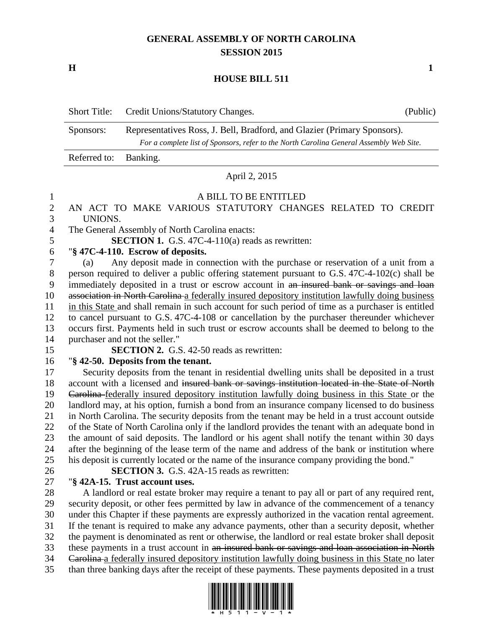# **GENERAL ASSEMBLY OF NORTH CAROLINA SESSION 2015**

**H 1**

### **HOUSE BILL 511**

|                       | Short Title: Credit Unions/Statutory Changes.                                                                                                                       | (Public) |
|-----------------------|---------------------------------------------------------------------------------------------------------------------------------------------------------------------|----------|
| Sponsors:             | Representatives Ross, J. Bell, Bradford, and Glazier (Primary Sponsors).<br>For a complete list of Sponsors, refer to the North Carolina General Assembly Web Site. |          |
| Referred to: Banking. |                                                                                                                                                                     |          |

#### April 2, 2015

#### A BILL TO BE ENTITLED

# AN ACT TO MAKE VARIOUS STATUTORY CHANGES RELATED TO CREDIT UNIONS.

The General Assembly of North Carolina enacts:

**SECTION 1.** G.S. 47C-4-110(a) reads as rewritten:

# "**§ 47C-4-110. Escrow of deposits.**

 (a) Any deposit made in connection with the purchase or reservation of a unit from a person required to deliver a public offering statement pursuant to G.S. 47C-4-102(c) shall be immediately deposited in a trust or escrow account in an insured bank or savings and loan 10 association in North Carolina a federally insured depository institution lawfully doing business in this State and shall remain in such account for such period of time as a purchaser is entitled to cancel pursuant to G.S. 47C-4-108 or cancellation by the purchaser thereunder whichever occurs first. Payments held in such trust or escrow accounts shall be deemed to belong to the purchaser and not the seller."

 **SECTION 2.** G.S. 42-50 reads as rewritten: "**§ 42-50. Deposits from the tenant.**

 Security deposits from the tenant in residential dwelling units shall be deposited in a trust account with a licensed and insured bank or savings institution located in the State of North Carolina federally insured depository institution lawfully doing business in this State or the landlord may, at his option, furnish a bond from an insurance company licensed to do business in North Carolina. The security deposits from the tenant may be held in a trust account outside of the State of North Carolina only if the landlord provides the tenant with an adequate bond in the amount of said deposits. The landlord or his agent shall notify the tenant within 30 days after the beginning of the lease term of the name and address of the bank or institution where his deposit is currently located or the name of the insurance company providing the bond."

**SECTION 3.** G.S. 42A-15 reads as rewritten:

# "**§ 42A-15. Trust account uses.**

 A landlord or real estate broker may require a tenant to pay all or part of any required rent, security deposit, or other fees permitted by law in advance of the commencement of a tenancy under this Chapter if these payments are expressly authorized in the vacation rental agreement. If the tenant is required to make any advance payments, other than a security deposit, whether the payment is denominated as rent or otherwise, the landlord or real estate broker shall deposit these payments in a trust account in an insured bank or savings and loan association in North 34 Carolina a federally insured depository institution lawfully doing business in this State no later than three banking days after the receipt of these payments. These payments deposited in a trust